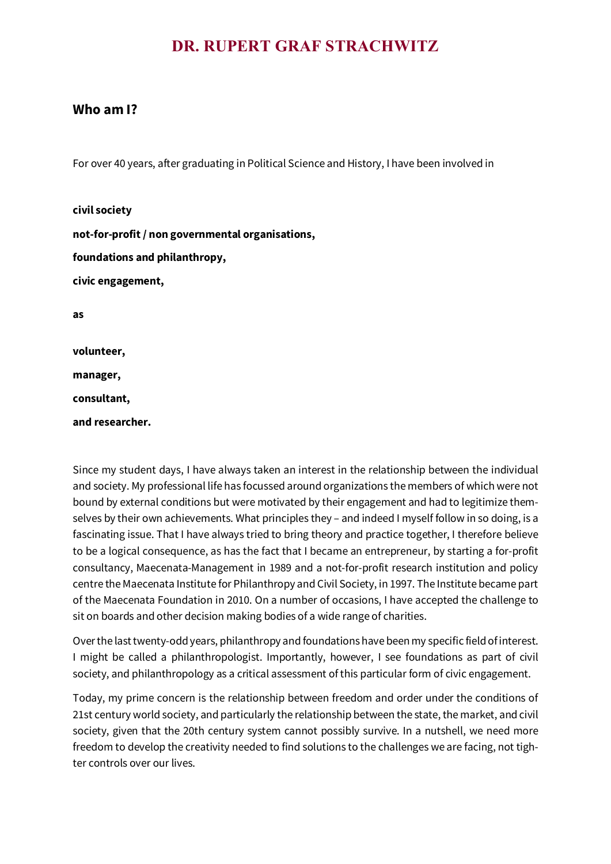## **DR. RUPERT GRAF STRACHWITZ**

## **Who am I?**

For over 40 years, after graduating in Political Science and History, I have been involved in

**civil society not-for-profit / non governmental organisations, foundations and philanthropy, civic engagement, as**

**volunteer, manager,**

**consultant,**

**and researcher.**

Since my student days, I have always taken an interest in the relationship between the individual and society. My professional life has focussed around organizations the members of which were not bound by external conditions but were motivated by their engagement and had to legitimize themselves by their own achievements. What principles they – and indeed I myself follow in so doing, is a fascinating issue. That I have always tried to bring theory and practice together, I therefore believe to be a logical consequence, as has the fact that I became an entrepreneur, by starting a for-profit consultancy, Maecenata-Management in 1989 and a not-for-profit research institution and policy centre the Maecenata Institute for Philanthropy and Civil Society, in 1997. The Institute became part of the Maecenata Foundation in 2010. On a number of occasions, I have accepted the challenge to sit on boards and other decision making bodies of a wide range of charities.

Over the last twenty-odd years, philanthropy and foundations have been my specific field of interest. I might be called a philanthropologist. Importantly, however, I see foundations as part of civil society, and philanthropology as a critical assessment of this particular form of civic engagement.

Today, my prime concern is the relationship between freedom and order under the conditions of 21st century world society, and particularly the relationship between the state, the market, and civil society, given that the 20th century system cannot possibly survive. In a nutshell, we need more freedom to develop the creativity needed to find solutions to the challenges we are facing, not tighter controls over our lives.